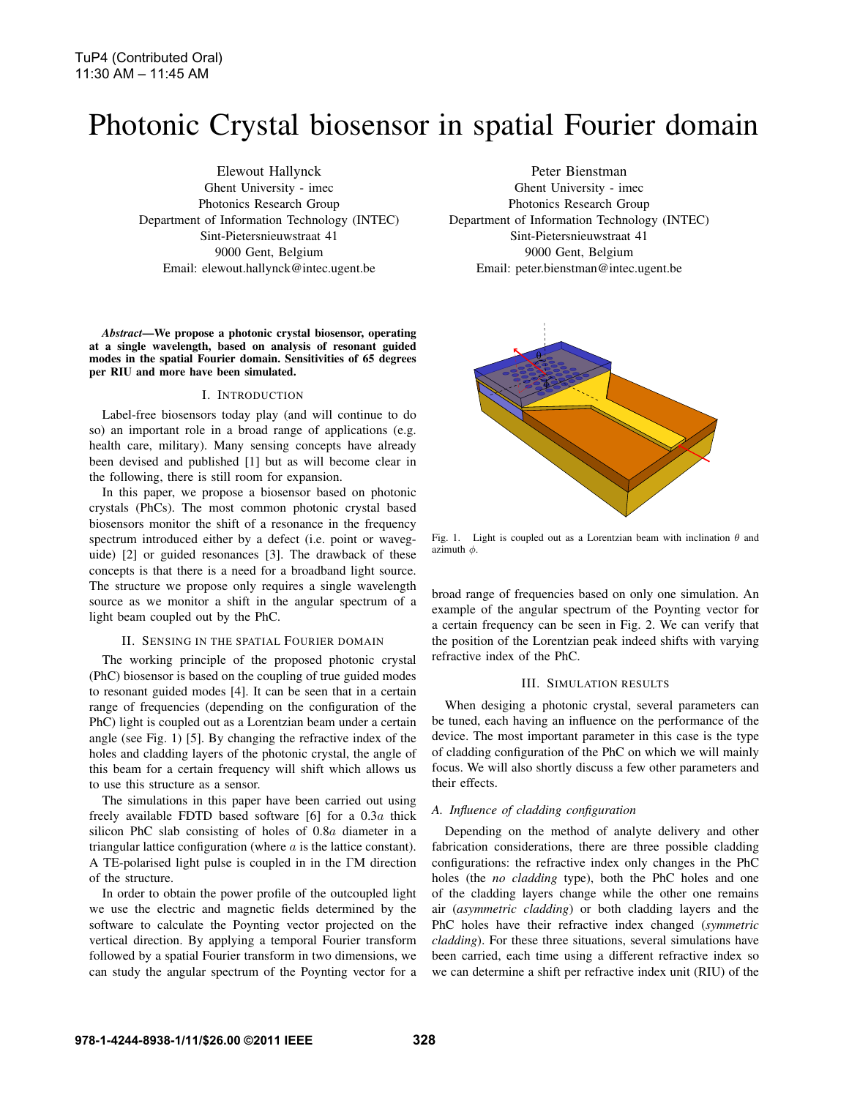# Photonic Crystal biosensor in spatial Fourier domain

Elewout Hallynck Ghent University - imec Photonics Research Group Department of Information Technology (INTEC) Sint-Pietersnieuwstraat 41 9000 Gent, Belgium Email: elewout.hallynck@intec.ugent.be

*Abstract*—We propose a photonic crystal biosensor, operating at a single wavelength, based on analysis of resonant guided modes in the spatial Fourier domain. Sensitivities of 65 degrees per RIU and more have been simulated.

## I. INTRODUCTION

Label-free biosensors today play (and will continue to do so) an important role in a broad range of applications (e.g. health care, military). Many sensing concepts have already been devised and published [1] but as will become clear in the following, there is still room for expansion.

In this paper, we propose a biosensor based on photonic crystals (PhCs). The most common photonic crystal based biosensors monitor the shift of a resonance in the frequency spectrum introduced either by a defect (i.e. point or waveguide) [2] or guided resonances [3]. The drawback of these concepts is that there is a need for a broadband light source. The structure we propose only requires a single wavelength source as we monitor a shift in the angular spectrum of a light beam coupled out by the PhC.

### II. SENSING IN THE SPATIAL FOURIER DOMAIN

The working principle of the proposed photonic crystal (PhC) biosensor is based on the coupling of true guided modes to resonant guided modes [4]. It can be seen that in a certain range of frequencies (depending on the configuration of the PhC) light is coupled out as a Lorentzian beam under a certain angle (see Fig. 1) [5]. By changing the refractive index of the holes and cladding layers of the photonic crystal, the angle of this beam for a certain frequency will shift which allows us to use this structure as a sensor.

The simulations in this paper have been carried out using freely available FDTD based software [6] for a 0.3a thick silicon PhC slab consisting of holes of 0.8a diameter in a triangular lattice configuration (where a is the lattice constant). A TE-polarised light pulse is coupled in in the ΓM direction of the structure.

In order to obtain the power profile of the outcoupled light we use the electric and magnetic fields determined by the software to calculate the Poynting vector projected on the vertical direction. By applying a temporal Fourier transform followed by a spatial Fourier transform in two dimensions, we can study the angular spectrum of the Poynting vector for a

Peter Bienstman Ghent University - imec Photonics Research Group Department of Information Technology (INTEC) Sint-Pietersnieuwstraat 41 9000 Gent, Belgium Email: peter.bienstman@intec.ugent.be



Fig. 1. Light is coupled out as a Lorentzian beam with inclination  $\theta$  and azimuth  $\phi$ .

broad range of frequencies based on only one simulation. An example of the angular spectrum of the Poynting vector for a certain frequency can be seen in Fig. 2. We can verify that the position of the Lorentzian peak indeed shifts with varying refractive index of the PhC.

#### III. SIMULATION RESULTS

When desiging a photonic crystal, several parameters can be tuned, each having an influence on the performance of the device. The most important parameter in this case is the type of cladding configuration of the PhC on which we will mainly focus. We will also shortly discuss a few other parameters and their effects.

### *A. Influence of cladding configuration*

Depending on the method of analyte delivery and other fabrication considerations, there are three possible cladding configurations: the refractive index only changes in the PhC holes (the *no cladding* type), both the PhC holes and one of the cladding layers change while the other one remains air (*asymmetric cladding*) or both cladding layers and the PhC holes have their refractive index changed (*symmetric cladding*). For these three situations, several simulations have been carried, each time using a different refractive index so we can determine a shift per refractive index unit (RIU) of the